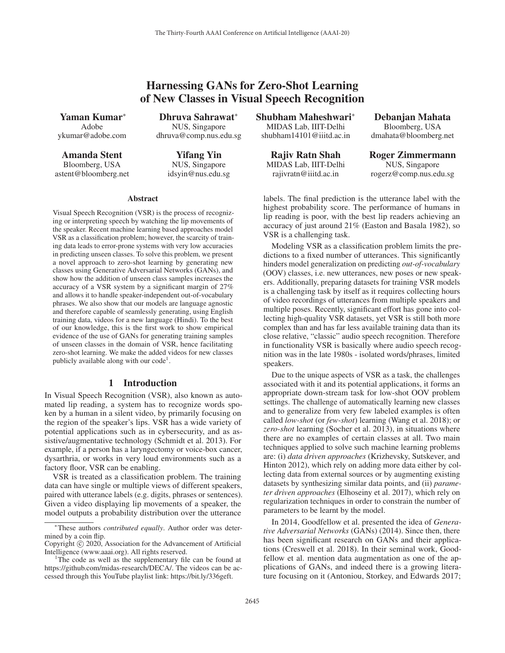# Harnessing GANs for Zero-Shot Learning of New Classes in Visual Speech Recognition

Yaman Kumar<sup>∗</sup> Adobe ykumar@adobe.com

Amanda Stent Bloomberg, USA astent@bloomberg.net

Dhruva Sahrawat<sup>∗</sup> NUS, Singapore dhruva@comp.nus.edu.sg

> Yifang Yin NUS, Singapore idsyin@nus.edu.sg

#### Abstract

Visual Speech Recognition (VSR) is the process of recognizing or interpreting speech by watching the lip movements of the speaker. Recent machine learning based approaches model VSR as a classification problem; however, the scarcity of training data leads to error-prone systems with very low accuracies in predicting unseen classes. To solve this problem, we present a novel approach to zero-shot learning by generating new classes using Generative Adversarial Networks (GANs), and show how the addition of unseen class samples increases the accuracy of a VSR system by a significant margin of 27% and allows it to handle speaker-independent out-of-vocabulary phrases. We also show that our models are language agnostic and therefore capable of seamlessly generating, using English training data, videos for a new language (Hindi). To the best of our knowledge, this is the first work to show empirical evidence of the use of GANs for generating training samples of unseen classes in the domain of VSR, hence facilitating zero-shot learning. We make the added videos for new classes publicly available along with our code<sup>1</sup>.

#### 1 Introduction

In Visual Speech Recognition (VSR), also known as automated lip reading, a system has to recognize words spoken by a human in a silent video, by primarily focusing on the region of the speaker's lips. VSR has a wide variety of potential applications such as in cybersecurity, and as assistive/augmentative technology (Schmidt et al. 2013). For example, if a person has a laryngectomy or voice-box cancer, dysarthria, or works in very loud environments such as a factory floor, VSR can be enabling.

VSR is treated as a classification problem. The training data can have single or multiple views of different speakers, paired with utterance labels (e.g. digits, phrases or sentences). Given a video displaying lip movements of a speaker, the model outputs a probability distribution over the utterance

Shubham Maheshwari<sup>∗</sup> MIDAS Lab, IIIT-Delhi shubham14101@iiitd.ac.in

> Rajiv Ratn Shah MIDAS Lab, IIIT-Delhi rajivratn@iiitd.ac.in

Debanjan Mahata Bloomberg, USA dmahata@bloomberg.net

Roger Zimmermann NUS, Singapore rogerz@comp.nus.edu.sg

labels. The final prediction is the utterance label with the highest probability score. The performance of humans in lip reading is poor, with the best lip readers achieving an accuracy of just around 21% (Easton and Basala 1982), so VSR is a challenging task.

Modeling VSR as a classification problem limits the predictions to a fixed number of utterances. This significantly hinders model generalization on predicting *out-of-vocabulary* (OOV) classes, i.e. new utterances, new poses or new speakers. Additionally, preparing datasets for training VSR models is a challenging task by itself as it requires collecting hours of video recordings of utterances from multiple speakers and multiple poses. Recently, significant effort has gone into collecting high-quality VSR datasets, yet VSR is still both more complex than and has far less available training data than its close relative, "classic" audio speech recognition. Therefore in functionality VSR is basically where audio speech recognition was in the late 1980s - isolated words/phrases, limited speakers.

Due to the unique aspects of VSR as a task, the challenges associated with it and its potential applications, it forms an appropriate down-stream task for low-shot OOV problem settings. The challenge of automatically learning new classes and to generalize from very few labeled examples is often called *low-shot* (or *few-shot*) learning (Wang et al. 2018); or *zero-shot* learning (Socher et al. 2013), in situations where there are no examples of certain classes at all. Two main techniques applied to solve such machine learning problems are: (i) *data driven approaches* (Krizhevsky, Sutskever, and Hinton 2012), which rely on adding more data either by collecting data from external sources or by augmenting existing datasets by synthesizing similar data points, and (ii) *parameter driven approaches* (Elhoseiny et al. 2017), which rely on regularization techniques in order to constrain the number of parameters to be learnt by the model.

In 2014, Goodfellow et al. presented the idea of *Generative Adversarial Networks* (GANs) (2014). Since then, there has been significant research on GANs and their applications (Creswell et al. 2018). In their seminal work, Goodfellow et al. mention data augmentation as one of the applications of GANs, and indeed there is a growing literature focusing on it (Antoniou, Storkey, and Edwards 2017;

<sup>∗</sup>These authors *contributed equally*. Author order was determined by a coin flip.

Copyright  $\odot$  2020, Association for the Advancement of Artificial Intelligence (www.aaai.org). All rights reserved.

<sup>&</sup>lt;sup>1</sup>The code as well as the supplementary file can be found at https://github.com/midas-research/DECA/. The videos can be accessed through this YouTube playlist link: https://bit.ly/336geft.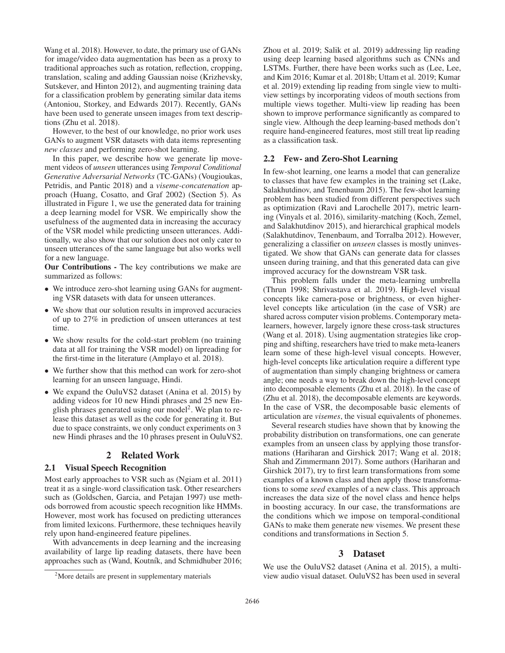Wang et al. 2018). However, to date, the primary use of GANs for image/video data augmentation has been as a proxy to traditional approaches such as rotation, reflection, cropping, translation, scaling and adding Gaussian noise (Krizhevsky, Sutskever, and Hinton 2012), and augmenting training data for a classification problem by generating similar data items (Antoniou, Storkey, and Edwards 2017). Recently, GANs have been used to generate unseen images from text descriptions (Zhu et al. 2018).

However, to the best of our knowledge, no prior work uses GANs to augment VSR datasets with data items representing *new classes* and performing zero-shot learning.

In this paper, we describe how we generate lip movement videos of *unseen* utterances using *Temporal Conditional Generative Adversarial Networks* (TC-GANs) (Vougioukas, Petridis, and Pantic 2018) and a *viseme-concatenation* approach (Huang, Cosatto, and Graf 2002) (Section 5). As illustrated in Figure 1, we use the generated data for training a deep learning model for VSR. We empirically show the usefulness of the augmented data in increasing the accuracy of the VSR model while predicting unseen utterances. Additionally, we also show that our solution does not only cater to unseen utterances of the same language but also works well for a new language.

Our Contributions - The key contributions we make are summarized as follows:

- We introduce zero-shot learning using GANs for augmenting VSR datasets with data for unseen utterances.
- We show that our solution results in improved accuracies of up to 27% in prediction of unseen utterances at test time.
- We show results for the cold-start problem (no training data at all for training the VSR model) on lipreading for the first-time in the literature (Amplayo et al. 2018).
- We further show that this method can work for zero-shot learning for an unseen language, Hindi.
- We expand the OuluVS2 dataset (Anina et al. 2015) by adding videos for 10 new Hindi phrases and 25 new English phrases generated using our model<sup>2</sup>. We plan to release this dataset as well as the code for generating it. But due to space constraints, we only conduct experiments on 3 new Hindi phrases and the 10 phrases present in OuluVS2.

# 2 Related Work

# 2.1 Visual Speech Recognition

Most early approaches to VSR such as (Ngiam et al. 2011) treat it as a single-word classification task. Other researchers such as (Goldschen, Garcia, and Petajan 1997) use methods borrowed from acoustic speech recognition like HMMs. However, most work has focused on predicting utterances from limited lexicons. Furthermore, these techniques heavily rely upon hand-engineered feature pipelines.

With advancements in deep learning and the increasing availability of large lip reading datasets, there have been approaches such as (Wand, Koutník, and Schmidhuber 2016; Zhou et al. 2019; Salik et al. 2019) addressing lip reading using deep learning based algorithms such as CNNs and LSTMs. Further, there have been works such as (Lee, Lee, and Kim 2016; Kumar et al. 2018b; Uttam et al. 2019; Kumar et al. 2019) extending lip reading from single view to multiview settings by incorporating videos of mouth sections from multiple views together. Multi-view lip reading has been shown to improve performance significantly as compared to single view. Although the deep learning-based methods don't require hand-engineered features, most still treat lip reading as a classification task.

## 2.2 Few- and Zero-Shot Learning

In few-shot learning, one learns a model that can generalize to classes that have few examples in the training set (Lake, Salakhutdinov, and Tenenbaum 2015). The few-shot learning problem has been studied from different perspectives such as optimization (Ravi and Larochelle 2017), metric learning (Vinyals et al. 2016), similarity-matching (Koch, Zemel, and Salakhutdinov 2015), and hierarchical graphical models (Salakhutdinov, Tenenbaum, and Torralba 2012). However, generalizing a classifier on *unseen* classes is mostly uninvestigated. We show that GANs can generate data for classes unseen during training, and that this generated data can give improved accuracy for the downstream VSR task.

This problem falls under the meta-learning umbrella (Thrun 1998; Shrivastava et al. 2019). High-level visual concepts like camera-pose or brightness, or even higherlevel concepts like articulation (in the case of VSR) are shared across computer vision problems. Contemporary metalearners, however, largely ignore these cross-task structures (Wang et al. 2018). Using augmentation strategies like cropping and shifting, researchers have tried to make meta-leaners learn some of these high-level visual concepts. However, high-level concepts like articulation require a different type of augmentation than simply changing brightness or camera angle; one needs a way to break down the high-level concept into decomposable elements (Zhu et al. 2018). In the case of (Zhu et al. 2018), the decomposable elements are keywords. In the case of VSR, the decomposable basic elements of articulation are *visemes*, the visual equivalents of phonemes.

Several research studies have shown that by knowing the probability distribution on transformations, one can generate examples from an unseen class by applying those transformations (Hariharan and Girshick 2017; Wang et al. 2018; Shah and Zimmermann 2017). Some authors (Hariharan and Girshick 2017), try to first learn transformations from some examples of a known class and then apply those transformations to some *seed* examples of a new class. This approach increases the data size of the novel class and hence helps in boosting accuracy. In our case, the transformations are the conditions which we impose on temporal-conditional GANs to make them generate new visemes. We present these conditions and transformations in Section 5.

#### 3 Dataset

We use the OuluVS2 dataset (Anina et al. 2015), a multiview audio visual dataset. OuluVS2 has been used in several

<sup>&</sup>lt;sup>2</sup>More details are present in supplementary materials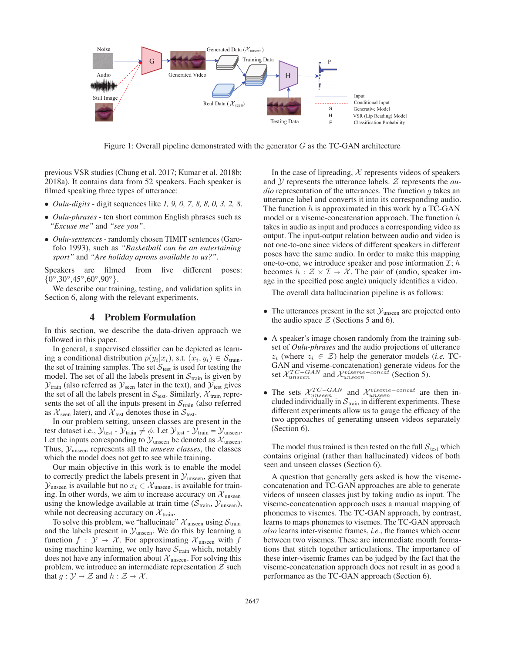

Figure 1: Overall pipeline demonstrated with the generator  $G$  as the TC-GAN architecture

previous VSR studies (Chung et al. 2017; Kumar et al. 2018b; 2018a). It contains data from 52 speakers. Each speaker is filmed speaking three types of utterance:

- *Oulu-digits* digit sequences like *1, 9, 0, 7, 8, 8, 0, 3, 2, 8*.
- *Oulu-phrases* ten short common English phrases such as *"Excuse me"* and *"see you"*.
- *Oulu-sentences* randomly chosen TIMIT sentences (Garofolo 1993), such as *"Basketball can be an entertaining sport"* and *"Are holiday aprons available to us?"*.

Speakers are filmed from five different poses:  $\{0^\circ, 30^\circ, 45^\circ, 60^\circ, 90^\circ\}.$ 

We describe our training, testing, and validation splits in Section 6, along with the relevant experiments.

#### 4 Problem Formulation

In this section, we describe the data-driven approach we followed in this paper.

In general, a supervised classifier can be depicted as learning a conditional distribution  $p(y_i|x_i)$ , s.t.  $(x_i, y_i) \in S_{\text{train}}$ , the set of training samples. The set  $S_{\text{test}}$  is used for testing the model. The set of all the labels present in  $S<sub>train</sub>$  is given by  $y_{\text{train}}$  (also referred as  $y_{\text{seen}}$  later in the text), and  $y_{\text{test}}$  gives the set of all the labels present in  $S_{\text{test}}$ . Similarly,  $\mathcal{X}_{\text{train}}$  represents the set of all the inputs present in  $S<sub>train</sub>$  (also referred as  $X_{\text{seen}}$  later), and  $X_{\text{test}}$  denotes those in  $S_{\text{test}}$ .

In our problem setting, unseen classes are present in the test dataset i.e.,  $\mathcal{Y}_{\text{test}}$  -  $\mathcal{Y}_{\text{train}} \neq \emptyset$ . Let  $\mathcal{Y}_{\text{test}}$  -  $\mathcal{Y}_{\text{train}} = \mathcal{Y}_{\text{unseen}}$ . Let the inputs corresponding to  $\mathcal{Y}_{\text{unseen}}$  be denoted as  $\mathcal{X}_{\text{unseen}}$ . Thus, Yunseen represents all the *unseen classes*, the classes which the model does not get to see while training.

Our main objective in this work is to enable the model to correctly predict the labels present in  $\mathcal{Y}_{\text{unseen}}$ , given that  $\mathcal{Y}_{\text{unseen}}$  is available but no  $x_i \in \mathcal{X}_{\text{unseen}}$ , is available for training. In other words, we aim to increase accuracy on  $\mathcal{X}_{\text{unseen}}$ using the knowledge available at train time ( $S<sub>train</sub>$ ,  $y<sub>unseen</sub>$ ), while not decreasing accuracy on  $\mathcal{X}_{\text{train}}$ .

To solve this problem, we "hallucinate"  $\mathcal{X}_{\text{unseen}}$  using  $\mathcal{S}_{\text{train}}$ and the labels present in  $\mathcal{Y}_{unseen}$ . We do this by learning a function  $f : \mathcal{Y} \to \mathcal{X}$ . For approximating  $\mathcal{X}_{\text{unseen}}$  with f<br>using machine learning we only have  $S_{\text{min}}$  which notably using machine learning, we only have  $S<sub>train</sub>$  which, notably does not have any information about  $\mathcal{X}_{\text{unseen}}$ . For solving this problem, we introduce an intermediate representation  $Z$  such that  $g: \mathcal{Y} \to \mathcal{Z}$  and  $h: \mathcal{Z} \to \mathcal{X}$ .

In the case of lipreading,  $X$  represents videos of speakers and Y represents the utterance labels. Z represents the *audio* representation of the utterances. The function g takes an utterance label and converts it into its corresponding audio. The function  $h$  is approximated in this work by a TC-GAN model or a viseme-concatenation approach. The function  $h$ takes in audio as input and produces a corresponding video as output. The input-output relation between audio and video is not one-to-one since videos of different speakers in different poses have the same audio. In order to make this mapping one-to-one, we introduce speaker and pose information  $\mathcal{I}$ ; h becomes  $h : \mathcal{Z} \times \mathcal{I} \to \mathcal{X}$ . The pair of (audio, speaker im-<br>age in the specified nose angle) uniquely identifies a video age in the specified pose angle) uniquely identifies a video.

The overall data hallucination pipeline is as follows:

- The utterances present in the set  $\mathcal{Y}_{\text{unseen}}$  are projected onto the audio space  $Z$  (Sections 5 and 6).
- A speaker's image chosen randomly from the training subset of *Oulu-phrases* and the audio projections of utterance  $z_i$  (where  $z_i \in \mathcal{Z}$ ) help the generator models (*i.e.* TC-GAN and viseme-concatenation) generate videos for the set  $\mathcal{X}_{unseen}^{TC-GAN}$  and  $\mathcal{X}_{unseen}^{viseme-concat}$  (Section 5).
- The sets  $\mathcal{X}_{unseen}^{TC-GAN}$  and  $\mathcal{X}_{unseen}^{viseme-concat}$  are then included individually in  $S<sub>train</sub>$  in different experiments. These different experiments allow us to gauge the efficacy of the two approaches of generating unseen videos separately (Section 6).

The model thus trained is then tested on the full  $S_{\text{test}}$  which contains original (rather than hallucinated) videos of both seen and unseen classes (Section 6).

A question that generally gets asked is how the visemeconcatenation and TC-GAN approaches are able to generate videos of unseen classes just by taking audio as input. The viseme-concatenation approach uses a manual mapping of phonemes to visemes. The TC-GAN approach, by contrast, learns to maps phonemes to visemes. The TC-GAN approach *also* learns inter-visemic frames, *i.e.*, the frames which occur between two visemes. These are intermediate mouth formations that stitch together articulations. The importance of these inter-visemic frames can be judged by the fact that the viseme-concatenation approach does not result in as good a performance as the TC-GAN approach (Section 6).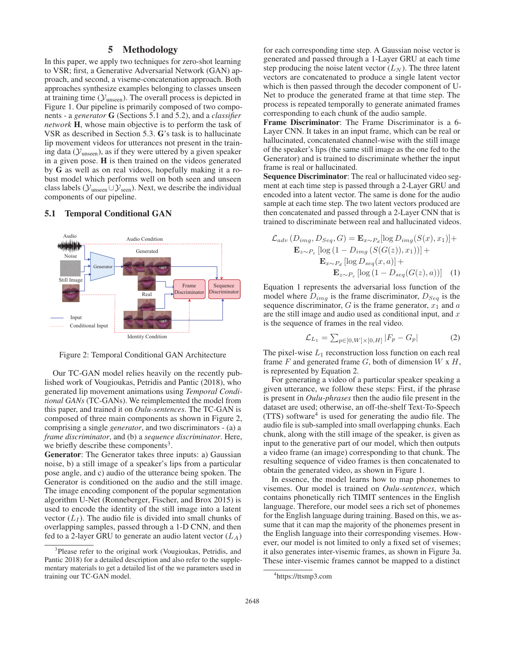# 5 Methodology

In this paper, we apply two techniques for zero-shot learning to VSR; first, a Generative Adversarial Network (GAN) approach, and second, a viseme-concatenation approach. Both approaches synthesize examples belonging to classes unseen at training time  $(y<sub>unseen</sub>)$ . The overall process is depicted in Figure 1. Our pipeline is primarily composed of two components - a *generator* G (Sections 5.1 and 5.2), and a *classifier network* H, whose main objective is to perform the task of VSR as described in Section 5.3. G's task is to hallucinate lip movement videos for utterances not present in the training data  $(\mathcal{Y}_{unseen})$ , as if they were uttered by a given speaker in a given pose. H is then trained on the videos generated by G as well as on real videos, hopefully making it a robust model which performs well on both seen and unseen class labels ( $\mathcal{Y}_{\text{unseen}} \cup \mathcal{Y}_{\text{seen}}$ ). Next, we describe the individual components of our pipeline.

### 5.1 Temporal Conditional GAN



Figure 2: Temporal Conditional GAN Architecture

Our TC-GAN model relies heavily on the recently published work of Vougioukas, Petridis and Pantic (2018), who generated lip movement animations using *Temporal Conditional GANs* (TC-GANs). We reimplemented the model from this paper, and trained it on *Oulu-sentences*. The TC-GAN is composed of three main components as shown in Figure 2, comprising a single *generator*, and two discriminators - (a) a *frame discriminator*, and (b) a *sequence discriminator*. Here, we briefly describe these components<sup>3</sup>.

Generator: The Generator takes three inputs: a) Gaussian noise, b) a still image of a speaker's lips from a particular pose angle, and c) audio of the utterance being spoken. The Generator is conditioned on the audio and the still image. The image encoding component of the popular segmentation algorithm U-Net (Ronneberger, Fischer, and Brox 2015) is used to encode the identity of the still image into a latent vector  $(L_I)$ . The audio file is divided into small chunks of overlapping samples, passed through a 1-D CNN, and then fed to a 2-layer GRU to generate an audio latent vector  $(L_A)$ 

for each corresponding time step. A Gaussian noise vector is generated and passed through a 1-Layer GRU at each time step producing the noise latent vector  $(L_N)$ . The three latent vectors are concatenated to produce a single latent vector which is then passed through the decoder component of U-Net to produce the generated frame at that time step. The process is repeated temporally to generate animated frames corresponding to each chunk of the audio sample.

Frame Discriminator: The Frame Discriminator is a 6- Layer CNN. It takes in an input frame, which can be real or hallucinated, concatenated channel-wise with the still image of the speaker's lips (the same still image as the one fed to the Generator) and is trained to discriminate whether the input frame is real or hallucinated.

Sequence Discriminator: The real or hallucinated video segment at each time step is passed through a 2-Layer GRU and encoded into a latent vector. The same is done for the audio sample at each time step. The two latent vectors produced are then concatenated and passed through a 2-Layer CNN that is trained to discriminate between real and hallucinated videos.

$$
\mathcal{L}_{adv} (D_{img}, D_{Seq}, G) = \mathbf{E}_{x \sim P_d} [\log D_{img}(S(x), x_1)] +
$$

$$
\mathbf{E}_{z \sim P_z} [\log (1 - D_{img} (S(G(z)), x_1))] +
$$

$$
\mathbf{E}_{x \sim P_d} [\log D_{seq}(x, a)] +
$$

$$
\mathbf{E}_{z \sim P_z} [\log (1 - D_{seq}(G(z), a))]
$$
(1)

Equation 1 represents the adversarial loss function of the model where  $D_{img}$  is the frame discriminator,  $D_{Seq}$  is the sequence discriminator,  $G$  is the frame generator,  $x_1$  and  $a$ are the still image and audio used as conditional input, and  $x$ is the sequence of frames in the real video.

$$
\mathcal{L}_{L_1} = \sum_{p \in [0, W] \times [0, H]} |F_p - G_p|
$$
 (2)

The pixel-wise  $L_1$  reconstruction loss function on each real frame  $F$  and generated frame  $G$ , both of dimension  $W \times H$ , is represented by Equation 2.

For generating a video of a particular speaker speaking a given utterance, we follow these steps: First, if the phrase is present in *Oulu-phrases* then the audio file present in the dataset are used; otherwise, an off-the-shelf Text-To-Speech  $(TTS)$  software<sup>4</sup> is used for generating the audio file. The audio file is sub-sampled into small overlapping chunks. Each chunk, along with the still image of the speaker, is given as input to the generative part of our model, which then outputs a video frame (an image) corresponding to that chunk. The resulting sequence of video frames is then concatenated to obtain the generated video, as shown in Figure 1.

In essence, the model learns how to map phonemes to visemes. Our model is trained on *Oulu-sentences*, which contains phonetically rich TIMIT sentences in the English language. Therefore, our model sees a rich set of phonemes for the English language during training. Based on this, we assume that it can map the majority of the phonemes present in the English language into their corresponding visemes. However, our model is not limited to only a fixed set of visemes; it also generates inter-visemic frames, as shown in Figure 3a. These inter-visemic frames cannot be mapped to a distinct

<sup>&</sup>lt;sup>3</sup>Please refer to the original work (Vougioukas, Petridis, and Pantic 2018) for a detailed description and also refer to the supplementary materials to get a detailed list of the we parameters used in training our TC-GAN model.

<sup>4</sup> https://ttsmp3.com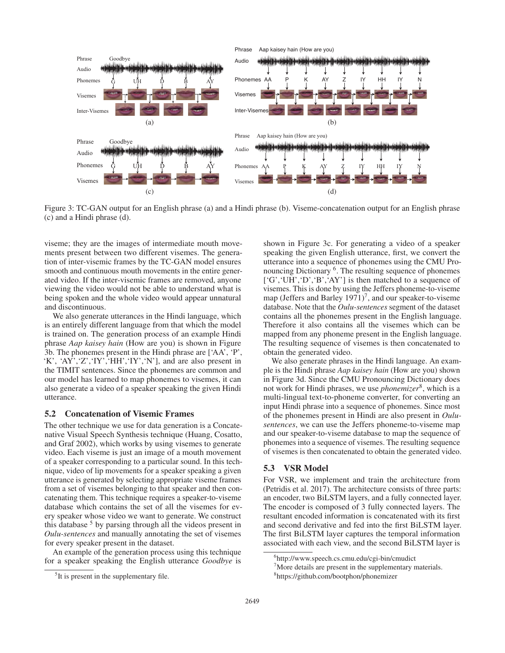

Figure 3: TC-GAN output for an English phrase (a) and a Hindi phrase (b). Viseme-concatenation output for an English phrase (c) and a Hindi phrase (d).

viseme; they are the images of intermediate mouth movements present between two different visemes. The generation of inter-visemic frames by the TC-GAN model ensures smooth and continuous mouth movements in the entire generated video. If the inter-visemic frames are removed, anyone viewing the video would not be able to understand what is being spoken and the whole video would appear unnatural and discontinuous.

We also generate utterances in the Hindi language, which is an entirely different language from that which the model is trained on. The generation process of an example Hindi phrase *Aap kaisey hain* (How are you) is shown in Figure 3b. The phonemes present in the Hindi phrase are ['AA', 'P', 'K', 'AY','Z','IY','HH','IY','N'], and are also present in the TIMIT sentences. Since the phonemes are common and our model has learned to map phonemes to visemes, it can also generate a video of a speaker speaking the given Hindi utterance.

#### 5.2 Concatenation of Visemic Frames

The other technique we use for data generation is a Concatenative Visual Speech Synthesis technique (Huang, Cosatto, and Graf 2002), which works by using visemes to generate video. Each viseme is just an image of a mouth movement of a speaker corresponding to a particular sound. In this technique, video of lip movements for a speaker speaking a given utterance is generated by selecting appropriate viseme frames from a set of visemes belonging to that speaker and then concatenating them. This technique requires a speaker-to-viseme database which contains the set of all the visemes for every speaker whose video we want to generate. We construct this database  $5$  by parsing through all the videos present in *Oulu-sentences* and manually annotating the set of visemes for every speaker present in the dataset.

An example of the generation process using this technique for a speaker speaking the English utterance *Goodbye* is shown in Figure 3c. For generating a video of a speaker speaking the given English utterance, first, we convert the utterance into a sequence of phonemes using the CMU Pronouncing Dictionary 6. The resulting sequence of phonemes ['G','UH','D','B','AY'] is then matched to a sequence of visemes. This is done by using the Jeffers phoneme-to-viseme map (Jeffers and Barley  $1971$ )<sup>7</sup>, and our speaker-to-viseme database. Note that the *Oulu-sentences* segment of the dataset contains all the phonemes present in the English language. Therefore it also contains all the visemes which can be mapped from any phoneme present in the English language. The resulting sequence of visemes is then concatenated to obtain the generated video.

We also generate phrases in the Hindi language. An example is the Hindi phrase *Aap kaisey hain* (How are you) shown in Figure 3d. Since the CMU Pronouncing Dictionary does not work for Hindi phrases, we use *phonemizer*8, which is a multi-lingual text-to-phoneme converter, for converting an input Hindi phrase into a sequence of phonemes. Since most of the phonemes present in Hindi are also present in *Oulusentences*, we can use the Jeffers phoneme-to-viseme map and our speaker-to-viseme database to map the sequence of phonemes into a sequence of visemes. The resulting sequence of visemes is then concatenated to obtain the generated video.

#### 5.3 VSR Model

For VSR, we implement and train the architecture from (Petridis et al. 2017). The architecture consists of three parts: an encoder, two BiLSTM layers, and a fully connected layer. The encoder is composed of 3 fully connected layers. The resultant encoded information is concatenated with its first and second derivative and fed into the first BiLSTM layer. The first BiLSTM layer captures the temporal information associated with each view, and the second BiLSTM layer is

<sup>&</sup>lt;sup>5</sup>It is present in the supplementary file.

<sup>6</sup> http://www.speech.cs.cmu.edu/cgi-bin/cmudict

<sup>&</sup>lt;sup>7</sup>More details are present in the supplementary materials.

<sup>8</sup> https://github.com/bootphon/phonemizer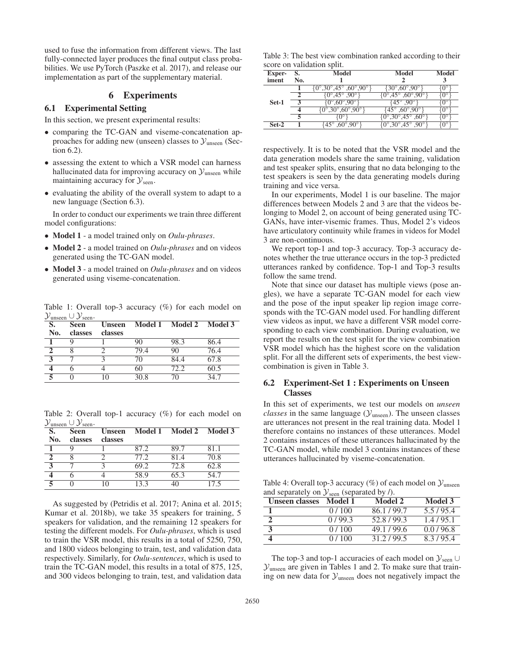used to fuse the information from different views. The last fully-connected layer produces the final output class probabilities. We use PyTorch (Paszke et al. 2017), and release our implementation as part of the supplementary material.

# 6 Experiments

# 6.1 Experimental Setting

In this section, we present experimental results:

- comparing the TC-GAN and viseme-concatenation approaches for adding new (unseen) classes to  $\mathcal{Y}_{\text{unseen}}$  (Section 6.2).
- assessing the extent to which a VSR model can harness hallucinated data for improving accuracy on  $\mathcal{Y}_{\text{unseen}}$  while maintaining accuracy for  $\mathcal{Y}_{\text{seen}}$ .
- evaluating the ability of the overall system to adapt to a new language (Section 6.3).

In order to conduct our experiments we train three different model configurations:

- Model 1 a model trained only on *Oulu-phrases*.
- Model 2 a model trained on *Oulu-phrases* and on videos generated using the TC-GAN model.
- Model 3 a model trained on *Oulu-phrases* and on videos generated using viseme-concatenation.

Table 1: Overall top-3 accuracy (%) for each model on  $\mathcal{Y}_{\text{unseen}} \cup \mathcal{Y}_{\text{seen}}.$ 

| S.             | <b>Seen</b> | <b>Unseen</b> |      | Model 1 Model 2 Model 3 |      |
|----------------|-------------|---------------|------|-------------------------|------|
| No.            | classes     | classes       |      |                         |      |
|                |             |               | 90   | 98.3                    | 86.4 |
| $\mathcal{P}$  |             |               | 79.4 | 90                      | 76.4 |
| $\overline{3}$ |             | 2             | 70   | 84.4                    | 67.8 |
|                |             |               | 60   | 72.2                    | 60.5 |
|                |             | 10            | 30.8 | 70                      | 34 7 |

Table 2: Overall top-1 accuracy (%) for each model on  ${\cal Y}_{\text{unseen}} \cup {\cal Y}_{\text{seen}}.$ 

|              | <b>Seen</b> | <b>Unseen</b> |      | Model 1 Model 2 Model 3 |      |
|--------------|-------------|---------------|------|-------------------------|------|
| No.          | classes     | classes       |      |                         |      |
|              |             |               | 87.2 | 89.7                    | 811  |
|              |             |               | 77.2 | 81.4                    | 70.8 |
| $\mathbf{a}$ |             |               | 69.2 | 72.8                    | 62.8 |
|              |             |               | 58.9 | 65.3                    | 54.7 |
|              |             |               | 133  |                         | 75   |

As suggested by (Petridis et al. 2017; Anina et al. 2015; Kumar et al. 2018b), we take 35 speakers for training, 5 speakers for validation, and the remaining 12 speakers for testing the different models. For *Oulu-phrases*, which is used to train the VSR model, this results in a total of 5250, 750, and 1800 videos belonging to train, test, and validation data respectively. Similarly, for *Oulu-sentences*, which is used to train the TC-GAN model, this results in a total of 875, 125, and 300 videos belonging to train, test, and validation data

Table 3: The best view combination ranked according to their score on validation split.

| Exper- | S.  | <b>Model</b>                                             | Model                                           | <b>Model</b> |
|--------|-----|----------------------------------------------------------|-------------------------------------------------|--------------|
| iment  | No. |                                                          |                                                 |              |
|        |     | $\{0^\circ, 30^\circ, 45^\circ, 60^\circ, 90^\circ\}$    | $30^{\circ}, 60^{\circ}, 90^{\circ}$            | $)^{\circ}$  |
|        |     | $0^\circ,45^\circ,90^\circ$                              | $0^{\circ}$ ,45°,60°,90°                        | ᢇ            |
| Set-1  |     | $0^{\circ}$ ,60 $^{\circ}$ ,90 $^{\circ}$                | 45 $^{\circ}$ ,90 $^{\circ}$                    |              |
|        |     | $0^{\circ}$ , $30^{\circ}$ , $60^{\circ}$ , $90^{\circ}$ | $45^{\circ}$ , 60 $^{\circ}$ , 90 $^{\circ}$    | ∩∘           |
|        |     |                                                          | $0^{\circ}, 30^{\circ}, 45^{\circ}$ ,           | ງ°           |
| Set-2  |     | $\overline{45^{\circ}}$ ,60°,90°!                        | $0^{\circ}, 30^{\circ}, 45^{\circ}, 90^{\circ}$ | Դ∘           |
|        |     |                                                          |                                                 |              |

respectively. It is to be noted that the VSR model and the data generation models share the same training, validation and test speaker splits, ensuring that no data belonging to the test speakers is seen by the data generating models during training and vice versa.

In our experiments, Model 1 is our baseline. The major differences between Models 2 and 3 are that the videos belonging to Model 2, on account of being generated using TC-GANs, have inter-visemic frames. Thus, Model 2's videos have articulatory continuity while frames in videos for Model 3 are non-continuous.

We report top-1 and top-3 accuracy. Top-3 accuracy denotes whether the true utterance occurs in the top-3 predicted utterances ranked by confidence. Top-1 and Top-3 results follow the same trend.

Note that since our dataset has multiple views (pose angles), we have a separate TC-GAN model for each view and the pose of the input speaker lip region image corresponds with the TC-GAN model used. For handling different view videos as input, we have a different VSR model corresponding to each view combination. During evaluation, we report the results on the test split for the view combination VSR model which has the highest score on the validation split. For all the different sets of experiments, the best viewcombination is given in Table 3.

# 6.2 Experiment-Set 1 : Experiments on Unseen **Classes**

In this set of experiments, we test our models on *unseen classes* in the same language ( $\mathcal{Y}_{unseen}$ ). The unseen classes are utterances not present in the real training data. Model 1 therefore contains no instances of these utterances. Model 2 contains instances of these utterances hallucinated by the TC-GAN model, while model 3 contains instances of these utterances hallucinated by viseme-concatenation.

Table 4: Overall top-3 accuracy  $(\%)$  of each model on  $\mathcal{Y}_{\text{unseen}}$ and separately on  $\mathcal{Y}_{\text{seen}}$  (separated by /).

| Unseen classes Model 1 |        | Model 2   | Model 3  |
|------------------------|--------|-----------|----------|
|                        | 0/100  | 86.1/99.7 | 5.5/95.4 |
| $\mathcal{P}$          | 0/99.3 | 52.8/99.3 | 1.4/95.1 |
| $\mathbf{3}$           | 0/100  | 49.1/99.6 | 0.0/96.8 |
|                        | 0/100  | 31.2/99.5 | 8.3/95.4 |

The top-3 and top-1 accuracies of each model on  $\mathcal{Y}_{\text{seen}} \cup$  $y_{\text{unseen}}$  are given in Tables 1 and 2. To make sure that training on new data for  $\mathcal{Y}_{\text{unseen}}$  does not negatively impact the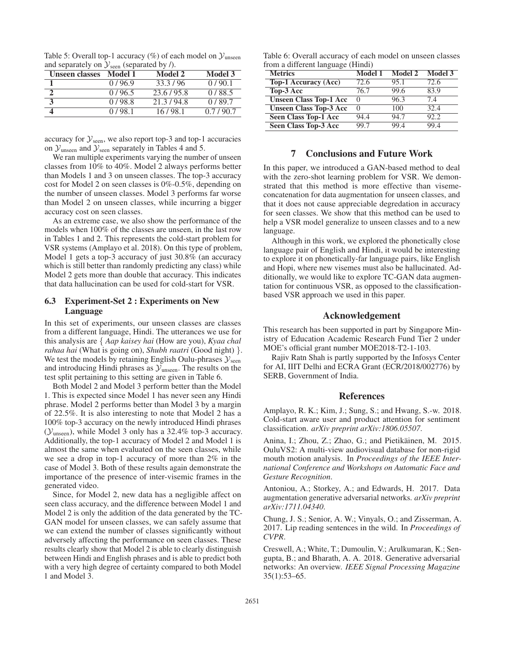Table 5: Overall top-1 accuracy  $(\%)$  of each model on  $\mathcal{Y}_{\text{unseen}}$ and separately on  $\mathcal{Y}_{\text{seen}}$  (separated by /).

| <b>Unseen classes</b> | Model 1 | Model 2   | Model 3  |
|-----------------------|---------|-----------|----------|
|                       | 0/96.9  | 33.3/96   | 0/90.1   |
| $\mathcal{D}$         | 0/96.5  | 23.6/95.8 | 0/88.5   |
| -3                    | 0/98.8  | 21.3/94.8 | 0/89.7   |
|                       | 0/98.1  | 16/98.1   | 0.7/90.7 |
|                       |         |           |          |

accuracy for  $\mathcal{Y}_{seen}$ , we also report top-3 and top-1 accuracies on  $\mathcal{Y}_{\text{unseen}}$  and  $\mathcal{Y}_{\text{seen}}$  separately in Tables 4 and 5.

We ran multiple experiments varying the number of unseen classes from 10% to 40%. Model 2 always performs better than Models 1 and 3 on unseen classes. The top-3 accuracy cost for Model 2 on seen classes is 0%-0.5%, depending on the number of unseen classes. Model 3 performs far worse than Model 2 on unseen classes, while incurring a bigger accuracy cost on seen classes.

As an extreme case, we also show the performance of the models when 100% of the classes are unseen, in the last row in Tables 1 and 2. This represents the cold-start problem for VSR systems (Amplayo et al. 2018). On this type of problem, Model 1 gets a top-3 accuracy of just 30.8% (an accuracy which is still better than randomly predicting any class) while Model 2 gets more than double that accuracy. This indicates that data hallucination can be used for cold-start for VSR.

### 6.3 Experiment-Set 2 : Experiments on New Language

In this set of experiments, our unseen classes are classes from a different language, Hindi. The utterances we use for this analysis are { *Aap kaisey hai* (How are you), *Kyaa chal rahaa hai* (What is going on), *Shubh raatri* (Good night) }. We test the models by retaining English Oulu-phrases  $\mathcal{Y}_{\text{seen}}$ and introducing Hindi phrases as  $\mathcal{Y}_{unseen}$ . The results on the test split pertaining to this setting are given in Table 6.

Both Model 2 and Model 3 perform better than the Model 1. This is expected since Model 1 has never seen any Hindi phrase. Model 2 performs better than Model 3 by a margin of 22.5%. It is also interesting to note that Model 2 has a 100% top-3 accuracy on the newly introduced Hindi phrases  $(\mathcal{Y}_{unseen})$ , while Model 3 only has a 32.4% top-3 accuracy. Additionally, the top-1 accuracy of Model 2 and Model 1 is almost the same when evaluated on the seen classes, while we see a drop in top-1 accuracy of more than 2% in the case of Model 3. Both of these results again demonstrate the importance of the presence of inter-visemic frames in the generated video.

Since, for Model 2, new data has a negligible affect on seen class accuracy, and the difference between Model 1 and Model 2 is only the addition of the data generated by the TC-GAN model for unseen classes, we can safely assume that we can extend the number of classes significantly without adversely affecting the performance on seen classes. These results clearly show that Model 2 is able to clearly distinguish between Hindi and English phrases and is able to predict both with a very high degree of certainty compared to both Model 1 and Model 3.

| Table 6: Overall accuracy of each model on unseen classes |  |  |  |
|-----------------------------------------------------------|--|--|--|
| from a different language (Hindi)                         |  |  |  |

| <b>Model 1</b>   | <b>Model 2</b> | <b>Model 3</b> |  |  |  |
|------------------|----------------|----------------|--|--|--|
| 72.6             | 95.1           | 72.6           |  |  |  |
| 76.7             | 99.6           | 83.9           |  |  |  |
| $\mathbf{O}$     | 96.3           | 7.4            |  |  |  |
| $\left( \right)$ | 100            | 32.4           |  |  |  |
| 94.4             | 94.7           | 92.2           |  |  |  |
| 99.7             | 99.4           | 99.4           |  |  |  |
|                  |                |                |  |  |  |

# 7 Conclusions and Future Work

In this paper, we introduced a GAN-based method to deal with the zero-shot learning problem for VSR. We demonstrated that this method is more effective than visemeconcatenation for data augmentation for unseen classes, and that it does not cause appreciable degredation in accuracy for seen classes. We show that this method can be used to help a VSR model generalize to unseen classes and to a new language.

Although in this work, we explored the phonetically close language pair of English and Hindi, it would be interesting to explore it on phonetically-far language pairs, like English and Hopi, where new visemes must also be hallucinated. Additionally, we would like to explore TC-GAN data augmentation for continuous VSR, as opposed to the classificationbased VSR approach we used in this paper.

#### Acknowledgement

This research has been supported in part by Singapore Ministry of Education Academic Research Fund Tier 2 under MOE's official grant number MOE2018-T2-1-103.

Rajiv Ratn Shah is partly supported by the Infosys Center for AI, IIIT Delhi and ECRA Grant (ECR/2018/002776) by SERB, Government of India.

#### References

Amplayo, R. K.; Kim, J.; Sung, S.; and Hwang, S.-w. 2018. Cold-start aware user and product attention for sentiment classification. *arXiv preprint arXiv:1806.05507*.

Anina, I.; Zhou, Z.; Zhao, G.; and Pietikäinen, M. 2015. OuluVS2: A multi-view audiovisual database for non-rigid mouth motion analysis. In *Proceedings of the IEEE International Conference and Workshops on Automatic Face and Gesture Recognition*.

Antoniou, A.; Storkey, A.; and Edwards, H. 2017. Data augmentation generative adversarial networks. *arXiv preprint arXiv:1711.04340*.

Chung, J. S.; Senior, A. W.; Vinyals, O.; and Zisserman, A. 2017. Lip reading sentences in the wild. In *Proceedings of CVPR*.

Creswell, A.; White, T.; Dumoulin, V.; Arulkumaran, K.; Sengupta, B.; and Bharath, A. A. 2018. Generative adversarial networks: An overview. *IEEE Signal Processing Magazine* 35(1):53–65.